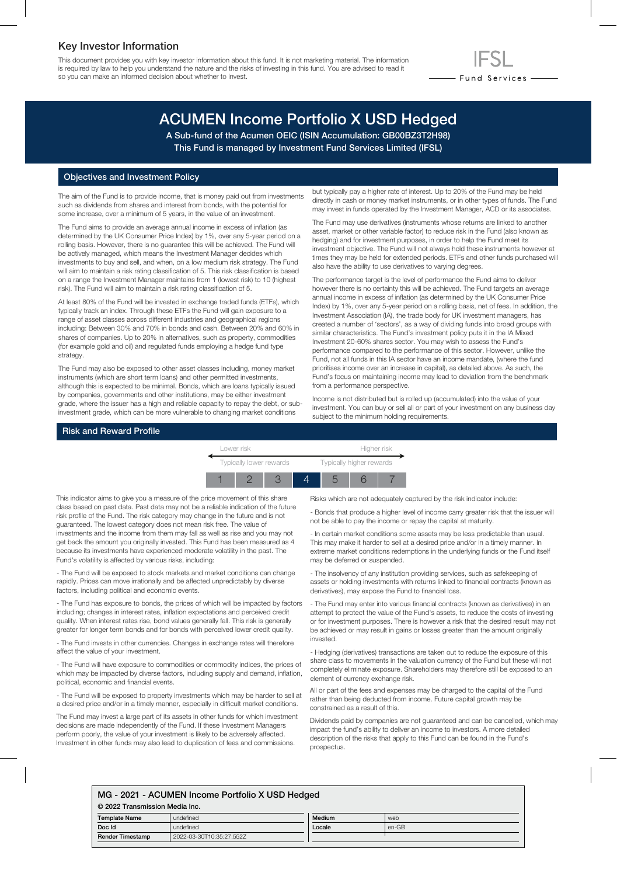### Key Investor Information

This document provides you with key investor information about this fund. It is not marketing material. The information is required by law to help you understand the nature and the risks of investing in this fund. You are advised to read it so you can make an informed decision about whether to invest.

# ACUMEN Income Portfolio X USD Hedged

A Sub-fund of the Acumen OEIC (ISIN Accumulation: GB00BZ3T2H98) This Fund is managed by Investment Fund Services Limited (IFSL)

#### Objectives and Investment Policy

The aim of the Fund is to provide income, that is money paid out from investments such as dividends from shares and interest from bonds, with the potential for some increase, over a minimum of 5 years, in the value of an investment.

The Fund aims to provide an average annual income in excess of inflation (as determined by the UK Consumer Price Index) by 1%, over any 5-year period on a rolling basis. However, there is no guarantee this will be achieved. The Fund will be actively managed, which means the Investment Manager decides which investments to buy and sell, and when, on a low medium risk strategy. The Fund will aim to maintain a risk rating classification of 5. This risk classification is based on a range the Investment Manager maintains from 1 (lowest risk) to 10 (highest risk). The Fund will aim to maintain a risk rating classification of 5.

At least 80% of the Fund will be invested in exchange traded funds (ETFs), which typically track an index. Through these ETFs the Fund will gain exposure to a range of asset classes across different industries and geographical regions including: Between 30% and 70% in bonds and cash. Between 20% and 60% in shares of companies. Up to 20% in alternatives, such as property, commodities (for example gold and oil) and regulated funds employing a hedge fund type strategy.

The Fund may also be exposed to other asset classes including, money market instruments (which are short term loans) and other permitted investments, although this is expected to be minimal. Bonds, which are loans typically issued by companies, governments and other institutions, may be either investment grade, where the issuer has a high and reliable capacity to repay the debt, or subinvestment grade, which can be more vulnerable to changing market conditions

but typically pay a higher rate of interest. Up to 20% of the Fund may be held directly in cash or money market instruments, or in other types of funds. The Fund may invest in funds operated by the Investment Manager, ACD or its associates.

- Fund Services —

The Fund may use derivatives (instruments whose returns are linked to another asset, market or other variable factor) to reduce risk in the Fund (also known as hedging) and for investment purposes, in order to help the Fund meet its investment objective. The Fund will not always hold these instruments however at times they may be held for extended periods. ETFs and other funds purchased will also have the ability to use derivatives to varying degrees.

The performance target is the level of performance the Fund aims to deliver however there is no certainty this will be achieved. The Fund targets an average annual income in excess of inflation (as determined by the UK Consumer Price Index) by 1%, over any 5-year period on a rolling basis, net of fees. In addition, the Investment Association (IA), the trade body for UK investment managers, has created a number of 'sectors', as a way of dividing funds into broad groups with similar characteristics. The Fund's investment policy puts it in the IA Mixed Investment 20-60% shares sector. You may wish to assess the Fund's performance compared to the performance of this sector. However, unlike the Fund, not all funds in this IA sector have an income mandate, (where the fund prioritises income over an increase in capital), as detailed above. As such, the Fund's focus on maintaining income may lead to deviation from the benchmark from a performance perspective.

Income is not distributed but is rolled up (accumulated) into the value of your investment. You can buy or sell all or part of your investment on any business day subject to the minimum holding requirements.

#### Risk and Reward Profile



This indicator aims to give you a measure of the price movement of this share class based on past data. Past data may not be a reliable indication of the future risk profile of the Fund. The risk category may change in the future and is not guaranteed. The lowest category does not mean risk free. The value of investments and the income from them may fall as well as rise and you may not get back the amount you originally invested. This Fund has been measured as 4 because its investments have experienced moderate volatility in the past. The Fund's volatility is affected by various risks, including:

- The Fund will be exposed to stock markets and market conditions can change rapidly. Prices can move irrationally and be affected unpredictably by diverse factors, including political and economic events.

- The Fund has exposure to bonds, the prices of which will be impacted by factors including; changes in interest rates, inflation expectations and perceived credit quality. When interest rates rise, bond values generally fall. This risk is generally greater for longer term bonds and for bonds with perceived lower credit quality.

- The Fund invests in other currencies. Changes in exchange rates will therefore affect the value of your investment.

- The Fund will have exposure to commodities or commodity indices, the prices of which may be impacted by diverse factors, including supply and demand, inflation, political, economic and financial events.

- The Fund will be exposed to property investments which may be harder to sell at a desired price and/or in a timely manner, especially in difficult market conditions.

The Fund may invest a large part of its assets in other funds for which investment decisions are made independently of the Fund. If these Investment Managers perform poorly, the value of your investment is likely to be adversely affected. Investment in other funds may also lead to duplication of fees and commissions.

Risks which are not adequately captured by the risk indicator include:

- Bonds that produce a higher level of income carry greater risk that the issuer will not be able to pay the income or repay the capital at maturity.

- In certain market conditions some assets may be less predictable than usual. This may make it harder to sell at a desired price and/or in a timely manner. In extreme market conditions redemptions in the underlying funds or the Fund itself may be deferred or suspended.

- The insolvency of any institution providing services, such as safekeeping of assets or holding investments with returns linked to financial contracts (known as derivatives), may expose the Fund to financial loss.

- The Fund may enter into various financial contracts (known as derivatives) in an attempt to protect the value of the Fund's assets, to reduce the costs of investing or for investment purposes. There is however a risk that the desired result may not be achieved or may result in gains or losses greater than the amount originally invested.

- Hedging (derivatives) transactions are taken out to reduce the exposure of this share class to movements in the valuation currency of the Fund but these will not completely eliminate exposure. Shareholders may therefore still be exposed to an element of currency exchange risk.

All or part of the fees and expenses may be charged to the capital of the Fund rather than being deducted from income. Future capital growth may be constrained as a result of this.

Dividends paid by companies are not guaranteed and can be cancelled, which may impact the fund's ability to deliver an income to investors. A more detailed description of the risks that apply to this Fund can be found in the Fund's prospectus.